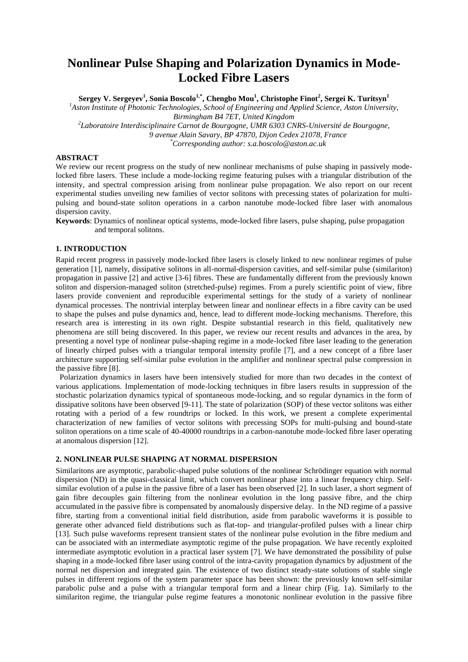# **Nonlinear Pulse Shaping and Polarization Dynamics in Mode-Locked Fibre Lasers**

**Sergey V. Sergeyev<sup>1</sup> , Sonia Boscolo1,\*, Chengbo Mou<sup>1</sup> , Christophe Finot<sup>2</sup> , Sergei K. Turitsyn<sup>1</sup>**

*<sup>1</sup>Aston Institute of Photonic Technologies, School of Engineering and Applied Science, Aston University, Birmingham B4 7ET, United Kingdom 2 Laboratoire Interdisciplinaire Carnot de Bourgogne, UMR 6303 CNRS-Université de Bourgogne,* 

*9 avenue Alain Savary, BP 47870, Dijon Cedex 21078, France \*Corresponding author: s.a.boscolo@aston.ac.uk*

## **ABSTRACT**

We review our recent progress on the study of new nonlinear mechanisms of pulse shaping in passively modelocked fibre lasers. These include a mode-locking regime featuring pulses with a triangular distribution of the intensity, and spectral compression arising from nonlinear pulse propagation. We also report on our recent experimental studies unveiling new families of vector solitons with precessing states of polarization for multipulsing and bound-state soliton operations in a carbon nanotube mode-locked fibre laser with anomalous dispersion cavity.

**Keywords**: Dynamics of nonlinear optical systems, mode-locked fibre lasers, pulse shaping, pulse propagation and temporal solitons.

### **1. INTRODUCTION**

Rapid recent progress in passively mode-locked fibre lasers is closely linked to new nonlinear regimes of pulse generation [1], namely, dissipative solitons in all-normal-dispersion cavities, and self-similar pulse (similariton) propagation in passive [2] and active [3-6] fibres. These are fundamentally different from the previously known soliton and dispersion-managed soliton (stretched-pulse) regimes. From a purely scientific point of view, fibre lasers provide convenient and reproducible experimental settings for the study of a variety of nonlinear dynamical processes. The nontrivial interplay between linear and nonlinear effects in a fibre cavity can be used to shape the pulses and pulse dynamics and, hence, lead to different mode-locking mechanisms. Therefore, this research area is interesting in its own right. Despite substantial research in this field, qualitatively new phenomena are still being discovered. In this paper, we review our recent results and advances in the area, by presenting a novel type of nonlinear pulse-shaping regime in a mode-locked fibre laser leading to the generation of linearly chirped pulses with a triangular temporal intensity profile [7], and a new concept of a fibre laser architecture supporting self-similar pulse evolution in the amplifier and nonlinear spectral pulse compression in the passive fibre [8].

 Polarization dynamics in lasers have been intensively studied for more than two decades in the context of various applications. Implementation of mode-locking techniques in fibre lasers results in suppression of the stochastic polarization dynamics typical of spontaneous mode-locking, and so regular dynamics in the form of dissipative solitons have been observed [9-11]. The state of polarization (SOP) of these vector solitons was either rotating with a period of a few roundtrips or locked. In this work, we present a complete experimental characterization of new families of vector solitons with precessing SOPs for multi-pulsing and bound-state soliton operations on a time scale of 40-40000 roundtrips in a carbon-nanotube mode-locked fibre laser operating at anomalous dispersion [12].

## **2. NONLINEAR PULSE SHAPING AT NORMAL DISPERSION**

Similaritons are asymptotic, parabolic-shaped pulse solutions of the nonlinear Schrödinger equation with normal dispersion (ND) in the quasi-classical limit, which convert nonlinear phase into a linear frequency chirp. Selfsimilar evolution of a pulse in the passive fibre of a laser has been observed [2]. In such laser, a short segment of gain fibre decouples gain filtering from the nonlinear evolution in the long passive fibre, and the chirp accumulated in the passive fibre is compensated by anomalously dispersive delay. In the ND regime of a passive fibre, starting from a conventional initial field distribution, aside from parabolic waveforms it is possible to generate other advanced field distributions such as flat-top- and triangular-profiled pulses with a linear chirp [13]. Such pulse waveforms represent transient states of the nonlinear pulse evolution in the fibre medium and can be associated with an intermediate asymptotic regime of the pulse propagation. We have recently exploited intermediate asymptotic evolution in a practical laser system [7]. We have demonstrated the possibility of pulse shaping in a mode-locked fibre laser using control of the intra-cavity propagation dynamics by adjustment of the normal net dispersion and integrated gain. The existence of two distinct steady-state solutions of stable single pulses in different regions of the system parameter space has been shown: the previously known self-similar parabolic pulse and a pulse with a triangular temporal form and a linear chirp (Fig. 1a). Similarly to the similariton regime, the triangular pulse regime features a monotonic nonlinear evolution in the passive fibre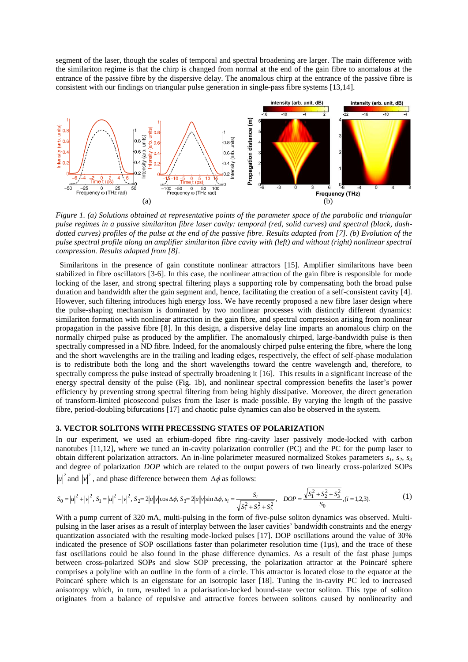segment of the laser, though the scales of temporal and spectral broadening are larger. The main difference with the similariton regime is that the chirp is changed from normal at the end of the gain fibre to anomalous at the entrance of the passive fibre by the dispersive delay. The anomalous chirp at the entrance of the passive fibre is consistent with our findings on triangular pulse generation in single-pass fibre systems [13,14].



*Figure 1. (a) Solutions obtained at representative points of the parameter space of the parabolic and triangular pulse regimes in a passive similariton fibre laser cavity: temporal (red, solid curves) and spectral (black, dashdotted curves) profiles of the pulse at the end of the passive fibre. Results adapted from [7]. (b) Evolution of the pulse spectral profile along an amplifier similariton fibre cavity with (left) and without (right) nonlinear spectral compression. Results adapted from [8].* 

 Similaritons in the presence of gain constitute nonlinear attractors [15]. Amplifier similaritons have been stabilized in fibre oscillators [3-6]. In this case, the nonlinear attraction of the gain fibre is responsible for mode locking of the laser, and strong spectral filtering plays a supporting role by compensating both the broad pulse duration and bandwidth after the gain segment and, hence, facilitating the creation of a self-consistent cavity [4]. However, such filtering introduces high energy loss. We have recently proposed a new fibre laser design where the pulse-shaping mechanism is dominated by two nonlinear processes with distinctly different dynamics: similariton formation with nonlinear attraction in the gain fibre, and spectral compression arising from nonlinear propagation in the passive fibre [8]. In this design, a dispersive delay line imparts an anomalous chirp on the normally chirped pulse as produced by the amplifier. The anomalously chirped, large-bandwidth pulse is then spectrally compressed in a ND fibre. Indeed, for the anomalously chirped pulse entering the fibre, where the long and the short wavelengths are in the trailing and leading edges, respectively, the effect of self-phase modulation is to redistribute both the long and the short wavelengths toward the centre wavelength and, therefore, to spectrally compress the pulse instead of spectrally broadening it [16]. This results in a significant increase of the energy spectral density of the pulse (Fig. 1b), and nonlinear spectral compression benefits the laser's power efficiency by preventing strong spectral filtering from being highly dissipative. Moreover, the direct generation of transform-limited picosecond pulses from the laser is made possible. By varying the length of the passive fibre, period-doubling bifurcations [17] and chaotic pulse dynamics can also be observed in the system.

### **3. VECTOR SOLITONS WITH PRECESSING STATES OF POLARIZATION**

In our experiment, we used an erbium-doped fibre ring-cavity laser passively mode-locked with carbon nanotubes [11,12], where we tuned an in-cavity polarization controller (PC) and the PC for the pump laser to obtain different polarization attractors. An in-line polarimeter measured normalized Stokes parameters *s1, s2, s<sup>3</sup>* and degree of polarization *DOP* which are related to the output powers of two linearly cross-polarized SOPs

 $|u|^2$  and  $|v|^2$ , and phase difference between them  $\Delta\phi$  as follows:

$$
S_0 = |u|^2 + |v|^2, S_1 = |u|^2 - |v|^2, S_2 = 2|u||v|\cos\Delta\phi, S_3 = 2|u||v|\sin\Delta\phi, s_i = \frac{S_i}{\sqrt{S_1^2 + S_2^2 + S_3^2}}, \quad DOP = \frac{\sqrt{S_1^2 + S_2^2 + S_3^2}}{S_0}, (i = 1, 2, 3).
$$
 (1)

With a pump current of 320 mA, multi-pulsing in the form of five-pulse soliton dynamics was observed. Multipulsing in the laser arises as a result of interplay between the laser cavities' bandwidth constraints and the energy quantization associated with the resulting mode-locked pulses [17]. DOP oscillations around the value of 30% indicated the presence of SOP oscillations faster than polarimeter resolution time  $(1\mu s)$ , and the trace of these fast oscillations could be also found in the phase difference dynamics. As a result of the fast phase jumps between cross-polarized SOPs and slow SOP precessing, the polarization attractor at the Poincaré sphere comprises a polyline with an outline in the form of a circle. This attractor is located close to the equator at the Poincaré sphere which is an eigenstate for an isotropic laser [18]. Tuning the in-cavity PC led to increased anisotropy which, in turn, resulted in a polarisation-locked bound-state vector soliton. This type of soliton originates from a balance of repulsive and attractive forces between solitons caused by nonlinearity and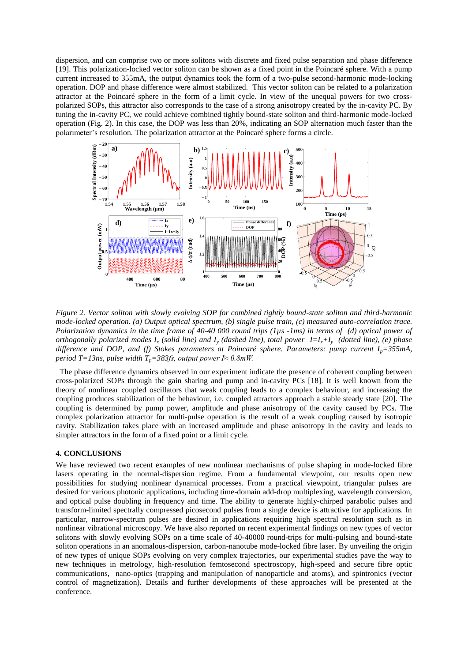dispersion, and can comprise two or more solitons with discrete and fixed pulse separation and phase difference [19]. This polarization-locked vector soliton can be shown as a fixed point in the Poincaré sphere. With a pump current increased to 355mA, the output dynamics took the form of a two-pulse second-harmonic mode-locking operation. DOP and phase difference were almost stabilized. This vector soliton can be related to a polarization attractor at the Poincaré sphere in the form of a limit cycle. In view of the unequal powers for two crosspolarized SOPs, this attractor also corresponds to the case of a strong anisotropy created by the in-cavity PC. By tuning the in-cavity PC, we could achieve combined tightly bound-state soliton and third-harmonic mode-locked operation (Fig. 2). In this case, the DOP was less than 20%, indicating an SOP alternation much faster than the polarimeter's resolution. The polarization attractor at the Poincaré sphere forms a circle.



*Figure 2. Vector soliton with slowly evolving SOP for combined tightly bound-state soliton and third-harmonic mode-locked operation. (a) Output optical spectrum, (b) single pulse train, (c) measured auto-correlation trace. Polarization dynamics in the time frame of 40-40 000 round trips (1µs -1ms) in terms of (d) optical power of orthogonally polarized modes I<sup>x</sup> (solid line) and I<sup>y</sup> (dashed line), total power I=Ix+I<sup>y</sup> (dotted line), (e) phase difference and DOP, and (f) Stokes parameters at Poincaré sphere. Parameters: pump current Ip=355mA, period T=13ns, pulse width T<sub>p</sub>=383fs, output power I* $\approx 0.8$ *mW.* 

 The phase difference dynamics observed in our experiment indicate the presence of coherent coupling between cross-polarized SOPs through the gain sharing and pump and in-cavity PCs [18]. It is well known from the theory of nonlinear coupled oscillators that weak coupling leads to a complex behaviour, and increasing the coupling produces stabilization of the behaviour, i.e. coupled attractors approach a stable steady state [20]. The coupling is determined by pump power, amplitude and phase anisotropy of the cavity caused by PCs. The complex polarization attractor for multi-pulse operation is the result of a weak coupling caused by isotropic cavity. Stabilization takes place with an increased amplitude and phase anisotropy in the cavity and leads to simpler attractors in the form of a fixed point or a limit cycle.

#### **4. CONCLUSIONS**

We have reviewed two recent examples of new nonlinear mechanisms of pulse shaping in mode-locked fibre lasers operating in the normal-dispersion regime. From a fundamental viewpoint, our results open new possibilities for studying nonlinear dynamical processes. From a practical viewpoint, triangular pulses are desired for various photonic applications, including time-domain add-drop multiplexing, wavelength conversion, and optical pulse doubling in frequency and time. The ability to generate highly-chirped parabolic pulses and transform-limited spectrally compressed picosecond pulses from a single device is attractive for applications. In particular, narrow-spectrum pulses are desired in applications requiring high spectral resolution such as in nonlinear vibrational microscopy. We have also reported on recent experimental findings on new types of vector solitons with slowly evolving SOPs on a time scale of 40-40000 round-trips for multi-pulsing and bound-state soliton operations in an anomalous-dispersion, carbon-nanotube mode-locked fibre laser. By unveiling the origin of new types of unique SOPs evolving on very complex trajectories, our experimental studies pave the way to new techniques in metrology, high-resolution femtosecond spectroscopy, high-speed and secure fibre optic communications, nano-optics (trapping and manipulation of nanoparticle and atoms), and spintronics (vector control of magnetization). Details and further developments of these approaches will be presented at the conference.